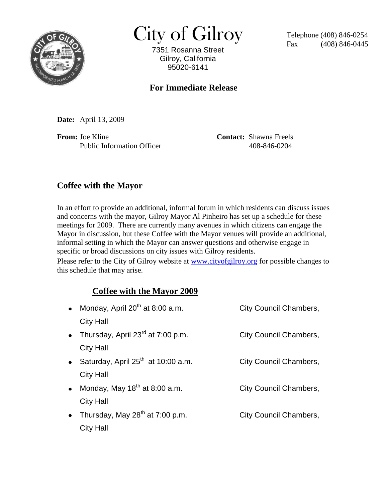

 $City of Gilroy$  Telephone (408) 846-0254

7351 Rosanna Street Gilroy, California 95020-6141

 $(408)$  846-0445

## **For Immediate Release**

**Date:** April 13, 2009

**From:** Joe Kline **Contact:** Shawna Freels Public Information Officer 408-846-0204

## **Coffee with the Mayor**

In an effort to provide an additional, informal forum in which residents can discuss issues and concerns with the mayor, Gilroy Mayor Al Pinheiro has set up a schedule for these meetings for 2009. There are currently many avenues in which citizens can engage the Mayor in discussion, but these Coffee with the Mayor venues will provide an additional, informal setting in which the Mayor can answer questions and otherwise engage in specific or broad discussions on city issues with Gilroy residents.

Please refer to the City of Gilroy website at [www.cityofgilroy.org](http://www.cityofgilroy.org/) for possible changes to this schedule that may arise.

## **Coffee with the Mayor 2009**

| $\bullet$ | Monday, April 20 <sup>th</sup> at 8:00 a.m. | <b>City Council Chambers,</b> |
|-----------|---------------------------------------------|-------------------------------|
|           | <b>City Hall</b>                            |                               |
|           | • Thursday, April $23^{rd}$ at 7:00 p.m.    | <b>City Council Chambers,</b> |
|           | <b>City Hall</b>                            |                               |
|           | • Saturday, April $25th$ at 10:00 a.m.      | City Council Chambers,        |
|           | <b>City Hall</b>                            |                               |
|           | • Monday, May $18^{th}$ at 8:00 a.m.        | <b>City Council Chambers,</b> |
|           | City Hall                                   |                               |
|           | • Thursday, May $28^{th}$ at 7:00 p.m.      | <b>City Council Chambers,</b> |
|           | <b>City Hall</b>                            |                               |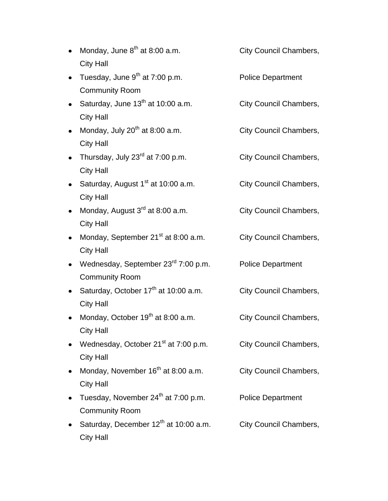- Monday, June  $8<sup>th</sup>$  at 8:00 a.m. City Council Chambers, City Hall
- Tuesday, June 9<sup>th</sup> at 7:00 p.m. Police Department Community Room
- Saturday, June  $13<sup>th</sup>$  at 10:00 a.m. City Council Chambers, City Hall
- Monday, July 20<sup>th</sup> at 8:00 a.m. City Council Chambers, City Hall
- Thursday, July 23<sup>rd</sup> at 7:00 p.m. City Council Chambers, City Hall
- Saturday, August 1<sup>st</sup> at 10:00 a.m. City Council Chambers, City Hall
- Monday, August 3<sup>rd</sup> at 8:00 a.m. City Council Chambers, City Hall
- Monday, September 21<sup>st</sup> at 8:00 a.m. City Council Chambers, City Hall
- Wednesday, September 23<sup>rd</sup> 7:00 p.m. Police Department Community Room
- Saturday, October 17<sup>th</sup> at 10:00 a.m. City Council Chambers, City Hall
- Monday, October  $19<sup>th</sup>$  at 8:00 a.m. City Council Chambers, City Hall
- Wednesday, October 21<sup>st</sup> at 7:00 p.m. City Council Chambers, City Hall
- Monday, November 16<sup>th</sup> at 8:00 a.m. City Council Chambers, City Hall
- Tuesday, November 24<sup>th</sup> at 7:00 p.m. Police Department Community Room
- Saturday, December  $12<sup>th</sup>$  at 10:00 a.m. City Council Chambers, City Hall